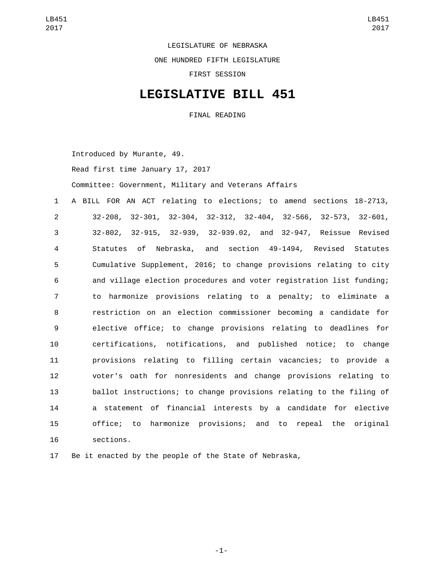LEGISLATURE OF NEBRASKA

ONE HUNDRED FIFTH LEGISLATURE

FIRST SESSION

## **LEGISLATIVE BILL 451**

FINAL READING

Introduced by Murante, 49.

Read first time January 17, 2017

Committee: Government, Military and Veterans Affairs

 A BILL FOR AN ACT relating to elections; to amend sections 18-2713, 32-208, 32-301, 32-304, 32-312, 32-404, 32-566, 32-573, 32-601, 32-802, 32-915, 32-939, 32-939.02, and 32-947, Reissue Revised Statutes of Nebraska, and section 49-1494, Revised Statutes Cumulative Supplement, 2016; to change provisions relating to city and village election procedures and voter registration list funding; to harmonize provisions relating to a penalty; to eliminate a restriction on an election commissioner becoming a candidate for elective office; to change provisions relating to deadlines for certifications, notifications, and published notice; to change provisions relating to filling certain vacancies; to provide a voter's oath for nonresidents and change provisions relating to ballot instructions; to change provisions relating to the filing of a statement of financial interests by a candidate for elective office; to harmonize provisions; and to repeal the original sections.16

17 Be it enacted by the people of the State of Nebraska,

-1-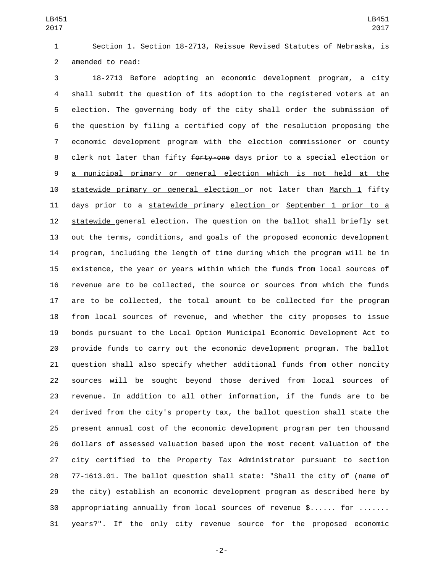Section 1. Section 18-2713, Reissue Revised Statutes of Nebraska, is 2 amended to read:

 18-2713 Before adopting an economic development program, a city shall submit the question of its adoption to the registered voters at an election. The governing body of the city shall order the submission of the question by filing a certified copy of the resolution proposing the economic development program with the election commissioner or county 8 clerk not later than fifty forty-one days prior to a special election or a municipal primary or general election which is not held at the 10 statewide primary or general election or not later than March 1 fifty 11 days prior to a statewide primary election or September 1 prior to a statewide general election. The question on the ballot shall briefly set out the terms, conditions, and goals of the proposed economic development program, including the length of time during which the program will be in existence, the year or years within which the funds from local sources of revenue are to be collected, the source or sources from which the funds are to be collected, the total amount to be collected for the program from local sources of revenue, and whether the city proposes to issue bonds pursuant to the Local Option Municipal Economic Development Act to provide funds to carry out the economic development program. The ballot question shall also specify whether additional funds from other noncity sources will be sought beyond those derived from local sources of revenue. In addition to all other information, if the funds are to be derived from the city's property tax, the ballot question shall state the present annual cost of the economic development program per ten thousand dollars of assessed valuation based upon the most recent valuation of the city certified to the Property Tax Administrator pursuant to section 77-1613.01. The ballot question shall state: "Shall the city of (name of the city) establish an economic development program as described here by appropriating annually from local sources of revenue \$...... for ....... years?". If the only city revenue source for the proposed economic

-2-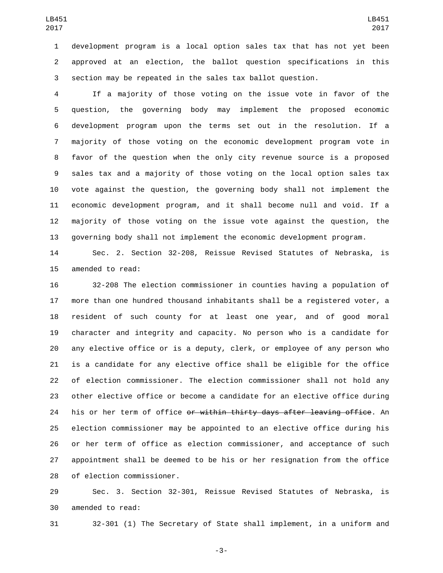development program is a local option sales tax that has not yet been approved at an election, the ballot question specifications in this section may be repeated in the sales tax ballot question.

 If a majority of those voting on the issue vote in favor of the question, the governing body may implement the proposed economic development program upon the terms set out in the resolution. If a majority of those voting on the economic development program vote in favor of the question when the only city revenue source is a proposed sales tax and a majority of those voting on the local option sales tax vote against the question, the governing body shall not implement the economic development program, and it shall become null and void. If a majority of those voting on the issue vote against the question, the governing body shall not implement the economic development program.

 Sec. 2. Section 32-208, Reissue Revised Statutes of Nebraska, is 15 amended to read:

 32-208 The election commissioner in counties having a population of more than one hundred thousand inhabitants shall be a registered voter, a resident of such county for at least one year, and of good moral character and integrity and capacity. No person who is a candidate for any elective office or is a deputy, clerk, or employee of any person who is a candidate for any elective office shall be eligible for the office of election commissioner. The election commissioner shall not hold any other elective office or become a candidate for an elective office during 24 his or her term of office <del>or within thirty days after leaving office</del>. An election commissioner may be appointed to an elective office during his or her term of office as election commissioner, and acceptance of such appointment shall be deemed to be his or her resignation from the office 28 of election commissioner.

 Sec. 3. Section 32-301, Reissue Revised Statutes of Nebraska, is 30 amended to read:

32-301 (1) The Secretary of State shall implement, in a uniform and

-3-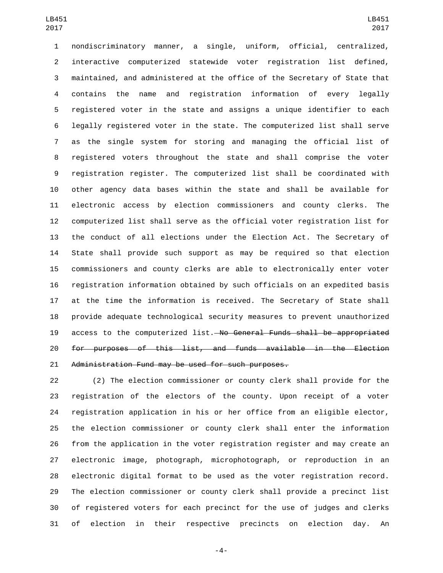nondiscriminatory manner, a single, uniform, official, centralized, interactive computerized statewide voter registration list defined, maintained, and administered at the office of the Secretary of State that contains the name and registration information of every legally registered voter in the state and assigns a unique identifier to each legally registered voter in the state. The computerized list shall serve as the single system for storing and managing the official list of registered voters throughout the state and shall comprise the voter registration register. The computerized list shall be coordinated with other agency data bases within the state and shall be available for electronic access by election commissioners and county clerks. The computerized list shall serve as the official voter registration list for the conduct of all elections under the Election Act. The Secretary of State shall provide such support as may be required so that election commissioners and county clerks are able to electronically enter voter registration information obtained by such officials on an expedited basis at the time the information is received. The Secretary of State shall provide adequate technological security measures to prevent unauthorized 19 access to the computerized list. No General Funds shall be appropriated for purposes of this list, and funds available in the Election Administration Fund may be used for such purposes.

 (2) The election commissioner or county clerk shall provide for the registration of the electors of the county. Upon receipt of a voter registration application in his or her office from an eligible elector, the election commissioner or county clerk shall enter the information from the application in the voter registration register and may create an electronic image, photograph, microphotograph, or reproduction in an electronic digital format to be used as the voter registration record. The election commissioner or county clerk shall provide a precinct list of registered voters for each precinct for the use of judges and clerks of election in their respective precincts on election day. An

-4-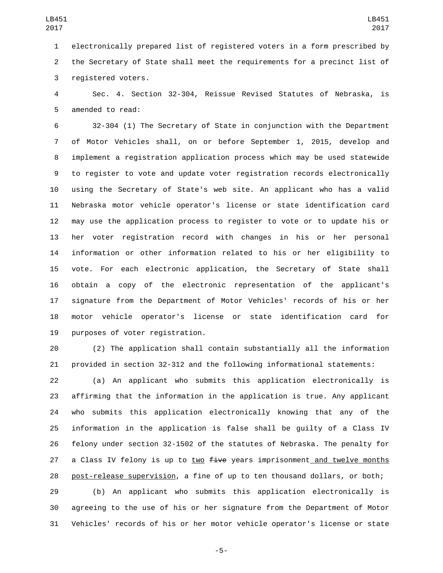electronically prepared list of registered voters in a form prescribed by the Secretary of State shall meet the requirements for a precinct list of 3 registered voters.

 Sec. 4. Section 32-304, Reissue Revised Statutes of Nebraska, is 5 amended to read:

 32-304 (1) The Secretary of State in conjunction with the Department of Motor Vehicles shall, on or before September 1, 2015, develop and implement a registration application process which may be used statewide to register to vote and update voter registration records electronically using the Secretary of State's web site. An applicant who has a valid Nebraska motor vehicle operator's license or state identification card may use the application process to register to vote or to update his or her voter registration record with changes in his or her personal information or other information related to his or her eligibility to vote. For each electronic application, the Secretary of State shall obtain a copy of the electronic representation of the applicant's signature from the Department of Motor Vehicles' records of his or her motor vehicle operator's license or state identification card for 19 purposes of voter registration.

 (2) The application shall contain substantially all the information provided in section 32-312 and the following informational statements:

 (a) An applicant who submits this application electronically is affirming that the information in the application is true. Any applicant who submits this application electronically knowing that any of the information in the application is false shall be guilty of a Class IV felony under section 32-1502 of the statutes of Nebraska. The penalty for 27 a Class IV felony is up to two  $f$ ive years imprisonment and twelve months post-release supervision, a fine of up to ten thousand dollars, or both;

 (b) An applicant who submits this application electronically is agreeing to the use of his or her signature from the Department of Motor Vehicles' records of his or her motor vehicle operator's license or state

-5-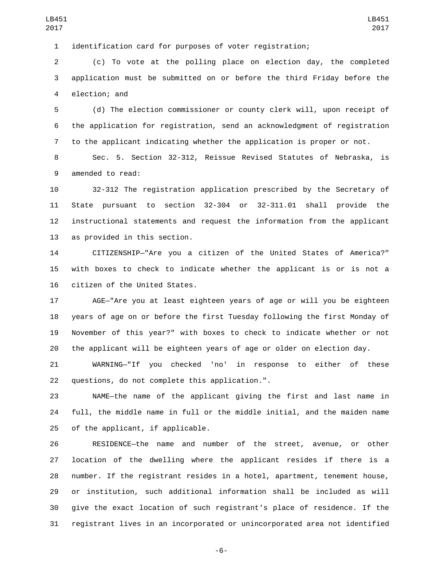identification card for purposes of voter registration;

 (c) To vote at the polling place on election day, the completed application must be submitted on or before the third Friday before the 4 election; and

 (d) The election commissioner or county clerk will, upon receipt of the application for registration, send an acknowledgment of registration to the applicant indicating whether the application is proper or not.

 Sec. 5. Section 32-312, Reissue Revised Statutes of Nebraska, is 9 amended to read:

 32-312 The registration application prescribed by the Secretary of State pursuant to section 32-304 or 32-311.01 shall provide the instructional statements and request the information from the applicant 13 as provided in this section.

 CITIZENSHIP—"Are you a citizen of the United States of America?" with boxes to check to indicate whether the applicant is or is not a 16 citizen of the United States.

 AGE—"Are you at least eighteen years of age or will you be eighteen years of age on or before the first Tuesday following the first Monday of November of this year?" with boxes to check to indicate whether or not the applicant will be eighteen years of age or older on election day.

 WARNING—"If you checked 'no' in response to either of these 22 questions, do not complete this application.".

 NAME—the name of the applicant giving the first and last name in full, the middle name in full or the middle initial, and the maiden name 25 of the applicant, if applicable.

 RESIDENCE—the name and number of the street, avenue, or other location of the dwelling where the applicant resides if there is a number. If the registrant resides in a hotel, apartment, tenement house, or institution, such additional information shall be included as will give the exact location of such registrant's place of residence. If the registrant lives in an incorporated or unincorporated area not identified

-6-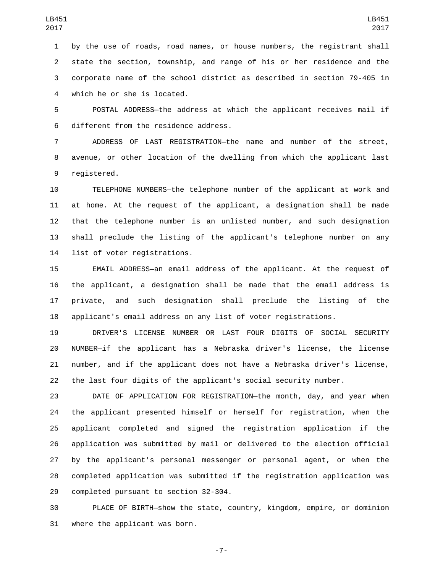by the use of roads, road names, or house numbers, the registrant shall state the section, township, and range of his or her residence and the corporate name of the school district as described in section 79-405 in 4 which he or she is located.

 POSTAL ADDRESS—the address at which the applicant receives mail if 6 different from the residence address.

 ADDRESS OF LAST REGISTRATION—the name and number of the street, avenue, or other location of the dwelling from which the applicant last 9 registered.

 TELEPHONE NUMBERS—the telephone number of the applicant at work and at home. At the request of the applicant, a designation shall be made that the telephone number is an unlisted number, and such designation shall preclude the listing of the applicant's telephone number on any 14 list of voter registrations.

 EMAIL ADDRESS—an email address of the applicant. At the request of the applicant, a designation shall be made that the email address is private, and such designation shall preclude the listing of the applicant's email address on any list of voter registrations.

 DRIVER'S LICENSE NUMBER OR LAST FOUR DIGITS OF SOCIAL SECURITY NUMBER—if the applicant has a Nebraska driver's license, the license number, and if the applicant does not have a Nebraska driver's license, the last four digits of the applicant's social security number.

 DATE OF APPLICATION FOR REGISTRATION—the month, day, and year when the applicant presented himself or herself for registration, when the applicant completed and signed the registration application if the application was submitted by mail or delivered to the election official by the applicant's personal messenger or personal agent, or when the completed application was submitted if the registration application was 29 completed pursuant to section 32-304.

 PLACE OF BIRTH—show the state, country, kingdom, empire, or dominion 31 where the applicant was born.

-7-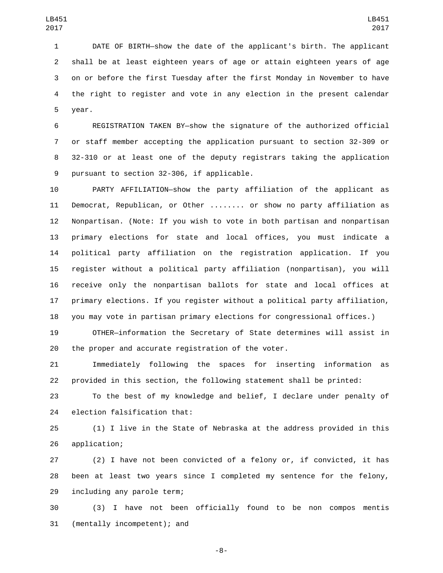DATE OF BIRTH—show the date of the applicant's birth. The applicant shall be at least eighteen years of age or attain eighteen years of age on or before the first Tuesday after the first Monday in November to have the right to register and vote in any election in the present calendar 5 year.

 REGISTRATION TAKEN BY—show the signature of the authorized official or staff member accepting the application pursuant to section 32-309 or 32-310 or at least one of the deputy registrars taking the application 9 pursuant to section 32-306, if applicable.

 PARTY AFFILIATION—show the party affiliation of the applicant as Democrat, Republican, or Other ........ or show no party affiliation as Nonpartisan. (Note: If you wish to vote in both partisan and nonpartisan primary elections for state and local offices, you must indicate a political party affiliation on the registration application. If you register without a political party affiliation (nonpartisan), you will receive only the nonpartisan ballots for state and local offices at primary elections. If you register without a political party affiliation, you may vote in partisan primary elections for congressional offices.)

 OTHER—information the Secretary of State determines will assist in the proper and accurate registration of the voter.

 Immediately following the spaces for inserting information as provided in this section, the following statement shall be printed:

 To the best of my knowledge and belief, I declare under penalty of 24 election falsification that:

 (1) I live in the State of Nebraska at the address provided in this 26 application;

 (2) I have not been convicted of a felony or, if convicted, it has been at least two years since I completed my sentence for the felony, 29 including any parole term;

 (3) I have not been officially found to be non compos mentis 31 (mentally incompetent); and

-8-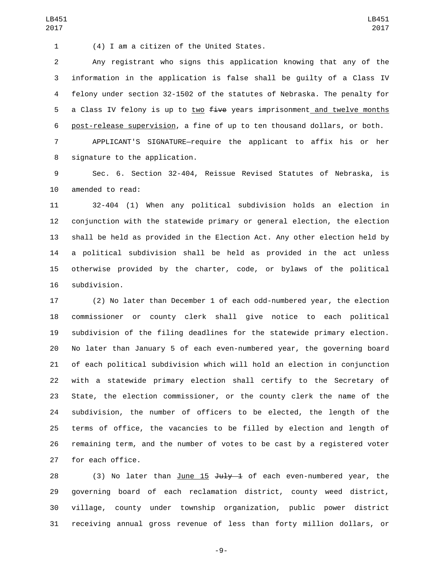(4) I am a citizen of the United States.1

 Any registrant who signs this application knowing that any of the information in the application is false shall be guilty of a Class IV felony under section 32-1502 of the statutes of Nebraska. The penalty for 5 a Class IV felony is up to two  $f$ ive years imprisonment and twelve months post-release supervision, a fine of up to ten thousand dollars, or both.

LB451 

 APPLICANT'S SIGNATURE—require the applicant to affix his or her 8 signature to the application.

 Sec. 6. Section 32-404, Reissue Revised Statutes of Nebraska, is 10 amended to read:

 32-404 (1) When any political subdivision holds an election in conjunction with the statewide primary or general election, the election shall be held as provided in the Election Act. Any other election held by a political subdivision shall be held as provided in the act unless otherwise provided by the charter, code, or bylaws of the political 16 subdivision.

 (2) No later than December 1 of each odd-numbered year, the election commissioner or county clerk shall give notice to each political subdivision of the filing deadlines for the statewide primary election. No later than January 5 of each even-numbered year, the governing board of each political subdivision which will hold an election in conjunction with a statewide primary election shall certify to the Secretary of State, the election commissioner, or the county clerk the name of the subdivision, the number of officers to be elected, the length of the terms of office, the vacancies to be filled by election and length of remaining term, and the number of votes to be cast by a registered voter 27 for each office.

28 (3) No later than June  $15 \text{ Ju1y} - 1$  of each even-numbered year, the governing board of each reclamation district, county weed district, village, county under township organization, public power district receiving annual gross revenue of less than forty million dollars, or

-9-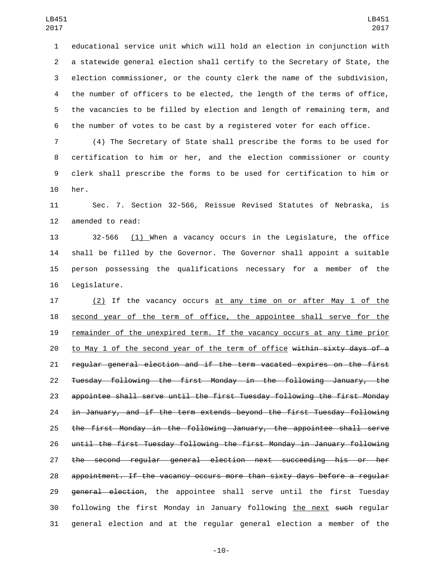educational service unit which will hold an election in conjunction with a statewide general election shall certify to the Secretary of State, the election commissioner, or the county clerk the name of the subdivision, the number of officers to be elected, the length of the terms of office, the vacancies to be filled by election and length of remaining term, and the number of votes to be cast by a registered voter for each office.

 (4) The Secretary of State shall prescribe the forms to be used for certification to him or her, and the election commissioner or county clerk shall prescribe the forms to be used for certification to him or 10 her.

 Sec. 7. Section 32-566, Reissue Revised Statutes of Nebraska, is 12 amended to read:

 32-566 (1) When a vacancy occurs in the Legislature, the office shall be filled by the Governor. The Governor shall appoint a suitable person possessing the qualifications necessary for a member of the 16 Legislature.

17 (2) If the vacancy occurs at any time on or after May 1 of the 18 second year of the term of office, the appointee shall serve for the remainder of the unexpired term. If the vacancy occurs at any time prior 20 to May 1 of the second year of the term of office within sixty days of a regular general election and if the term vacated expires on the first Tuesday following the first Monday in the following January, the appointee shall serve until the first Tuesday following the first Monday in January, and if the term extends beyond the first Tuesday following the first Monday in the following January, the appointee shall serve until the first Tuesday following the first Monday in January following the second regular general election next succeeding his or her appointment. If the vacancy occurs more than sixty days before a regular 29 general election, the appointee shall serve until the first Tuesday 30 following the first Monday in January following the next such regular general election and at the regular general election a member of the

-10-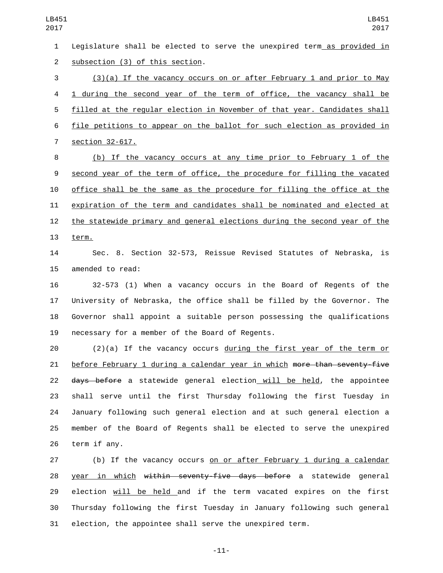Legislature shall be elected to serve the unexpired term as provided in 2 subsection (3) of this section. (3)(a) If the vacancy occurs on or after February 1 and prior to May 1 during the second year of the term of office, the vacancy shall be filled at the regular election in November of that year. Candidates shall file petitions to appear on the ballot for such election as provided in 7 section 32-617. (b) If the vacancy occurs at any time prior to February 1 of the second year of the term of office, the procedure for filling the vacated office shall be the same as the procedure for filling the office at the expiration of the term and candidates shall be nominated and elected at the statewide primary and general elections during the second year of the 13 term. Sec. 8. Section 32-573, Reissue Revised Statutes of Nebraska, is 15 amended to read: 32-573 (1) When a vacancy occurs in the Board of Regents of the University of Nebraska, the office shall be filled by the Governor. The Governor shall appoint a suitable person possessing the qualifications 19 necessary for a member of the Board of Regents. (2)(a) If the vacancy occurs during the first year of the term or 21 before February 1 during a calendar year in which more than seventy-five 22 days before a statewide general election will be held, the appointee shall serve until the first Thursday following the first Tuesday in January following such general election and at such general election a member of the Board of Regents shall be elected to serve the unexpired 26 term if any. LB451

 (b) If the vacancy occurs on or after February 1 during a calendar 28 year in which within seventy-five days before a statewide general election will be held and if the term vacated expires on the first Thursday following the first Tuesday in January following such general election, the appointee shall serve the unexpired term.

-11-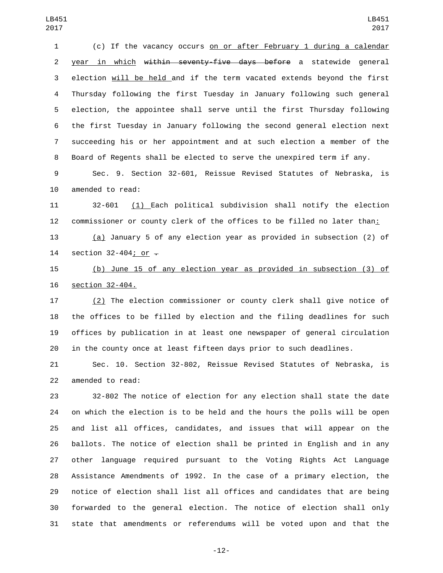(c) If the vacancy occurs on or after February 1 during a calendar 2 year in which within seventy-five days before a statewide general election will be held and if the term vacated extends beyond the first Thursday following the first Tuesday in January following such general election, the appointee shall serve until the first Thursday following the first Tuesday in January following the second general election next succeeding his or her appointment and at such election a member of the Board of Regents shall be elected to serve the unexpired term if any.

 Sec. 9. Section 32-601, Reissue Revised Statutes of Nebraska, is 10 amended to read:

 32-601 (1) Each political subdivision shall notify the election commissioner or county clerk of the offices to be filled no later than:

 (a) January 5 of any election year as provided in subsection (2) of 14 section 32-404; or  $\overline{-}$ 

 (b) June 15 of any election year as provided in subsection (3) of 16 section 32-404.

 (2) The election commissioner or county clerk shall give notice of the offices to be filled by election and the filing deadlines for such offices by publication in at least one newspaper of general circulation in the county once at least fifteen days prior to such deadlines.

 Sec. 10. Section 32-802, Reissue Revised Statutes of Nebraska, is 22 amended to read:

 32-802 The notice of election for any election shall state the date on which the election is to be held and the hours the polls will be open and list all offices, candidates, and issues that will appear on the ballots. The notice of election shall be printed in English and in any other language required pursuant to the Voting Rights Act Language Assistance Amendments of 1992. In the case of a primary election, the notice of election shall list all offices and candidates that are being forwarded to the general election. The notice of election shall only state that amendments or referendums will be voted upon and that the

-12-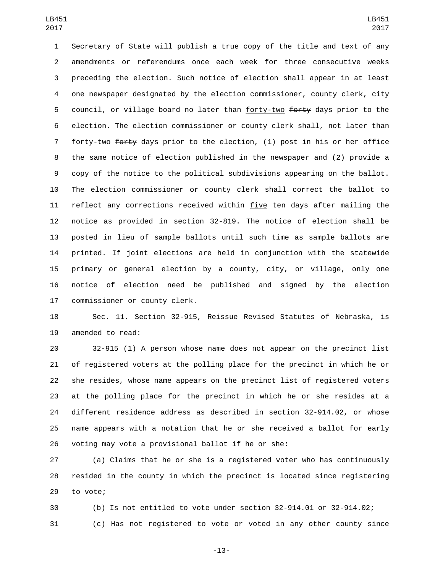Secretary of State will publish a true copy of the title and text of any amendments or referendums once each week for three consecutive weeks preceding the election. Such notice of election shall appear in at least one newspaper designated by the election commissioner, county clerk, city 5 council, or village board no later than forty-two forty days prior to the election. The election commissioner or county clerk shall, not later than 7 forty-two forty days prior to the election, (1) post in his or her office the same notice of election published in the newspaper and (2) provide a copy of the notice to the political subdivisions appearing on the ballot. The election commissioner or county clerk shall correct the ballot to 11 reflect any corrections received within five ten days after mailing the notice as provided in section 32-819. The notice of election shall be posted in lieu of sample ballots until such time as sample ballots are printed. If joint elections are held in conjunction with the statewide primary or general election by a county, city, or village, only one notice of election need be published and signed by the election 17 commissioner or county clerk.

 Sec. 11. Section 32-915, Reissue Revised Statutes of Nebraska, is 19 amended to read:

 32-915 (1) A person whose name does not appear on the precinct list of registered voters at the polling place for the precinct in which he or she resides, whose name appears on the precinct list of registered voters at the polling place for the precinct in which he or she resides at a different residence address as described in section 32-914.02, or whose name appears with a notation that he or she received a ballot for early voting may vote a provisional ballot if he or she:

 (a) Claims that he or she is a registered voter who has continuously resided in the county in which the precinct is located since registering 29 to vote;

 (b) Is not entitled to vote under section 32-914.01 or 32-914.02; (c) Has not registered to vote or voted in any other county since

-13-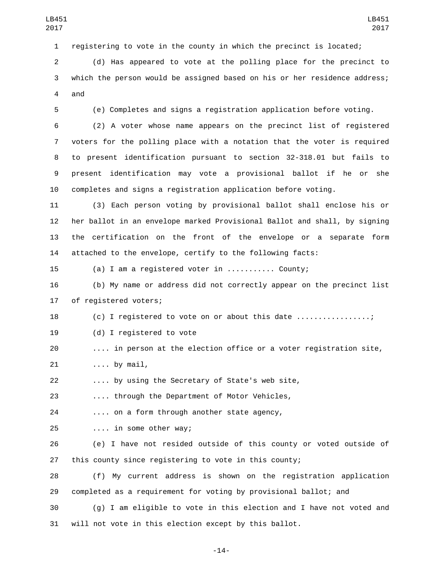registering to vote in the county in which the precinct is located;

 (d) Has appeared to vote at the polling place for the precinct to which the person would be assigned based on his or her residence address; 4 and

(e) Completes and signs a registration application before voting.

 (2) A voter whose name appears on the precinct list of registered voters for the polling place with a notation that the voter is required to present identification pursuant to section 32-318.01 but fails to present identification may vote a provisional ballot if he or she completes and signs a registration application before voting.

 (3) Each person voting by provisional ballot shall enclose his or her ballot in an envelope marked Provisional Ballot and shall, by signing the certification on the front of the envelope or a separate form attached to the envelope, certify to the following facts:

(a) I am a registered voter in ........... County;

 (b) My name or address did not correctly appear on the precinct list 17 of registered voters;

18 (c) I registered to vote on or about this date ................;

19 (d) I registered to vote

.... in person at the election office or a voter registration site,

21 .... by mail,

.... by using the Secretary of State's web site,

.... through the Department of Motor Vehicles,

24 .... on a form through another state agency,

.... in some other way;25

 (e) I have not resided outside of this county or voted outside of this county since registering to vote in this county;

 (f) My current address is shown on the registration application completed as a requirement for voting by provisional ballot; and

 (g) I am eligible to vote in this election and I have not voted and will not vote in this election except by this ballot.

-14-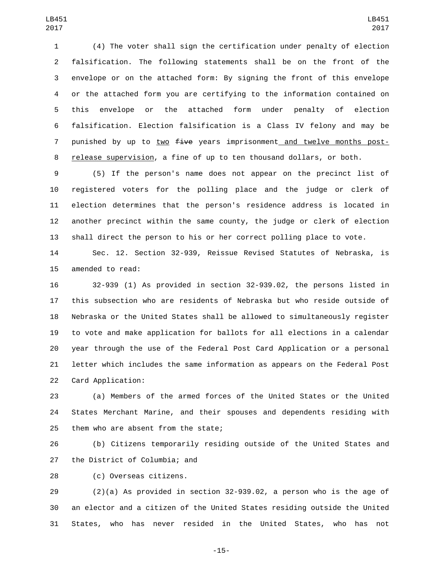(4) The voter shall sign the certification under penalty of election falsification. The following statements shall be on the front of the envelope or on the attached form: By signing the front of this envelope or the attached form you are certifying to the information contained on this envelope or the attached form under penalty of election falsification. Election falsification is a Class IV felony and may be 7 punished by up to two five years imprisonment and twelve months post-release supervision, a fine of up to ten thousand dollars, or both.

 (5) If the person's name does not appear on the precinct list of registered voters for the polling place and the judge or clerk of election determines that the person's residence address is located in another precinct within the same county, the judge or clerk of election shall direct the person to his or her correct polling place to vote.

 Sec. 12. Section 32-939, Reissue Revised Statutes of Nebraska, is 15 amended to read:

 32-939 (1) As provided in section 32-939.02, the persons listed in this subsection who are residents of Nebraska but who reside outside of Nebraska or the United States shall be allowed to simultaneously register to vote and make application for ballots for all elections in a calendar year through the use of the Federal Post Card Application or a personal letter which includes the same information as appears on the Federal Post 22 Card Application:

 (a) Members of the armed forces of the United States or the United States Merchant Marine, and their spouses and dependents residing with 25 them who are absent from the state;

 (b) Citizens temporarily residing outside of the United States and 27 the District of Columbia; and

28 (c) Overseas citizens.

 (2)(a) As provided in section 32-939.02, a person who is the age of an elector and a citizen of the United States residing outside the United States, who has never resided in the United States, who has not

-15-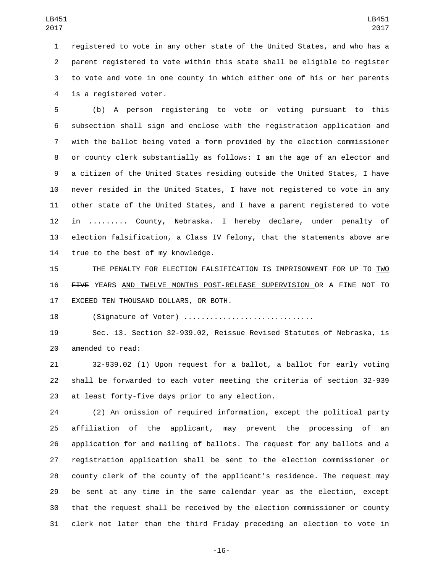registered to vote in any other state of the United States, and who has a parent registered to vote within this state shall be eligible to register to vote and vote in one county in which either one of his or her parents 4 is a registered voter.

 (b) A person registering to vote or voting pursuant to this subsection shall sign and enclose with the registration application and with the ballot being voted a form provided by the election commissioner or county clerk substantially as follows: I am the age of an elector and a citizen of the United States residing outside the United States, I have never resided in the United States, I have not registered to vote in any other state of the United States, and I have a parent registered to vote in ......... County, Nebraska. I hereby declare, under penalty of election falsification, a Class IV felony, that the statements above are 14 true to the best of my knowledge.

 THE PENALTY FOR ELECTION FALSIFICATION IS IMPRISONMENT FOR UP TO TWO FIVE YEARS AND TWELVE MONTHS POST-RELEASE SUPERVISION OR A FINE NOT TO 17 EXCEED TEN THOUSAND DOLLARS, OR BOTH.

(Signature of Voter) ..............................

 Sec. 13. Section 32-939.02, Reissue Revised Statutes of Nebraska, is 20 amended to read:

 32-939.02 (1) Upon request for a ballot, a ballot for early voting shall be forwarded to each voter meeting the criteria of section 32-939 23 at least forty-five days prior to any election.

 (2) An omission of required information, except the political party affiliation of the applicant, may prevent the processing of an application for and mailing of ballots. The request for any ballots and a registration application shall be sent to the election commissioner or county clerk of the county of the applicant's residence. The request may be sent at any time in the same calendar year as the election, except that the request shall be received by the election commissioner or county clerk not later than the third Friday preceding an election to vote in

-16-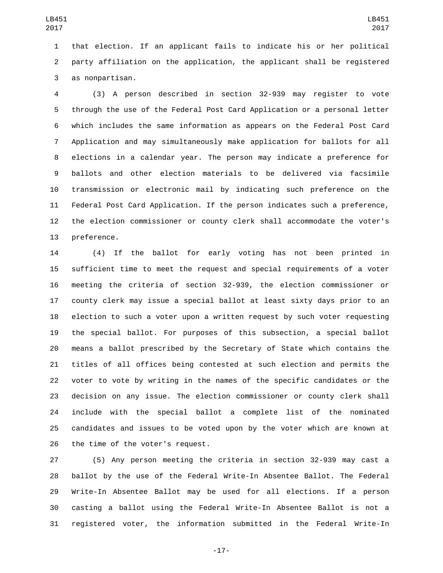that election. If an applicant fails to indicate his or her political party affiliation on the application, the applicant shall be registered as nonpartisan.3

 (3) A person described in section 32-939 may register to vote through the use of the Federal Post Card Application or a personal letter which includes the same information as appears on the Federal Post Card Application and may simultaneously make application for ballots for all elections in a calendar year. The person may indicate a preference for ballots and other election materials to be delivered via facsimile transmission or electronic mail by indicating such preference on the Federal Post Card Application. If the person indicates such a preference, the election commissioner or county clerk shall accommodate the voter's 13 preference.

 (4) If the ballot for early voting has not been printed in sufficient time to meet the request and special requirements of a voter meeting the criteria of section 32-939, the election commissioner or county clerk may issue a special ballot at least sixty days prior to an election to such a voter upon a written request by such voter requesting the special ballot. For purposes of this subsection, a special ballot means a ballot prescribed by the Secretary of State which contains the titles of all offices being contested at such election and permits the voter to vote by writing in the names of the specific candidates or the decision on any issue. The election commissioner or county clerk shall include with the special ballot a complete list of the nominated candidates and issues to be voted upon by the voter which are known at 26 the time of the voter's request.

 (5) Any person meeting the criteria in section 32-939 may cast a ballot by the use of the Federal Write-In Absentee Ballot. The Federal Write-In Absentee Ballot may be used for all elections. If a person casting a ballot using the Federal Write-In Absentee Ballot is not a registered voter, the information submitted in the Federal Write-In

-17-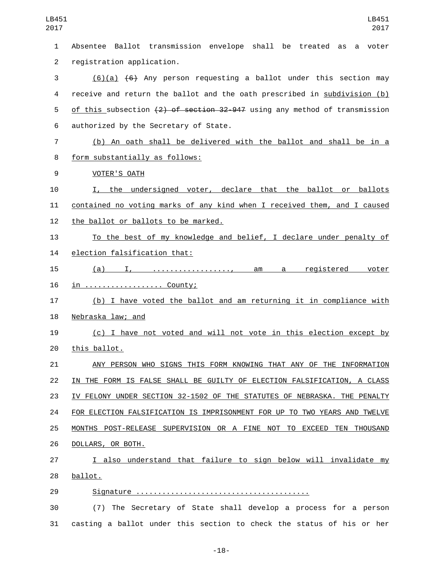Absentee Ballot transmission envelope shall be treated as a voter 2 registration application. (6)(a) (6) Any person requesting a ballot under this section may receive and return the ballot and the oath prescribed in subdivision (b) 5 of this subsection  $\left(2\right)$  of section 32-947 using any method of transmission 6 authorized by the Secretary of State. (b) An oath shall be delivered with the ballot and shall be in a 8 form substantially as follows: 9 VOTER'S OATH I, the undersigned voter, declare that the ballot or ballots contained no voting marks of any kind when I received them, and I caused 12 the ballot or ballots to be marked. To the best of my knowledge and belief, I declare under penalty of 14 election falsification that: (a) I, .................., am a registered voter 16 <u>in ......................</u> County; (b) I have voted the ballot and am returning it in compliance with 18 Nebraska law; and (c) I have not voted and will not vote in this election except by 20 this ballot. ANY PERSON WHO SIGNS THIS FORM KNOWING THAT ANY OF THE INFORMATION IN THE FORM IS FALSE SHALL BE GUILTY OF ELECTION FALSIFICATION, A CLASS IV FELONY UNDER SECTION 32-1502 OF THE STATUTES OF NEBRASKA. THE PENALTY FOR ELECTION FALSIFICATION IS IMPRISONMENT FOR UP TO TWO YEARS AND TWELVE MONTHS POST-RELEASE SUPERVISION OR A FINE NOT TO EXCEED TEN THOUSAND 26 DOLLARS, OR BOTH. I also understand that failure to sign below will invalidate my 28 ballot. Signature ........................................ (7) The Secretary of State shall develop a process for a person casting a ballot under this section to check the status of his or her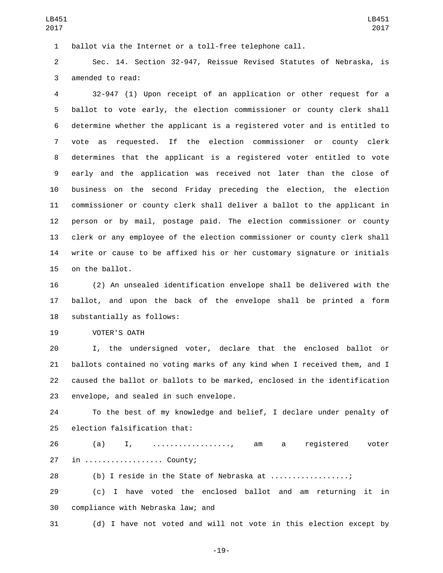ballot via the Internet or a toll-free telephone call.

 Sec. 14. Section 32-947, Reissue Revised Statutes of Nebraska, is 3 amended to read:

 32-947 (1) Upon receipt of an application or other request for a ballot to vote early, the election commissioner or county clerk shall determine whether the applicant is a registered voter and is entitled to vote as requested. If the election commissioner or county clerk determines that the applicant is a registered voter entitled to vote early and the application was received not later than the close of business on the second Friday preceding the election, the election commissioner or county clerk shall deliver a ballot to the applicant in person or by mail, postage paid. The election commissioner or county clerk or any employee of the election commissioner or county clerk shall write or cause to be affixed his or her customary signature or initials 15 on the ballot.

 (2) An unsealed identification envelope shall be delivered with the ballot, and upon the back of the envelope shall be printed a form 18 substantially as follows:

19 VOTER'S OATH

 I, the undersigned voter, declare that the enclosed ballot or ballots contained no voting marks of any kind when I received them, and I caused the ballot or ballots to be marked, enclosed in the identification 23 envelope, and sealed in such envelope.

 To the best of my knowledge and belief, I declare under penalty of 25 election falsification that:

 (a) I, .................., am a registered voter 27 in ................... County;

28 (b) I reside in the State of Nebraska at .................;

 (c) I have voted the enclosed ballot and am returning it in 30 compliance with Nebraska law; and

(d) I have not voted and will not vote in this election except by

-19-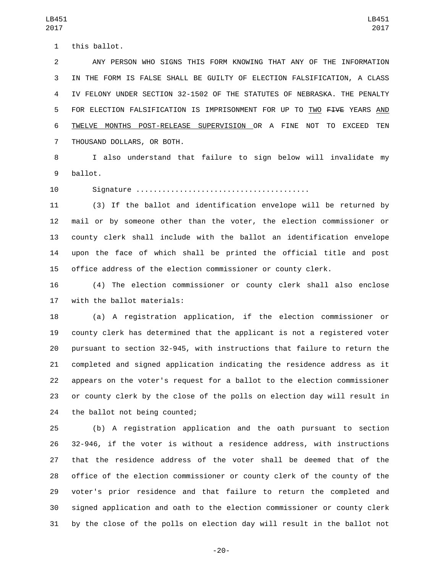1 this ballot.

 ANY PERSON WHO SIGNS THIS FORM KNOWING THAT ANY OF THE INFORMATION IN THE FORM IS FALSE SHALL BE GUILTY OF ELECTION FALSIFICATION, A CLASS IV FELONY UNDER SECTION 32-1502 OF THE STATUTES OF NEBRASKA. THE PENALTY 5 FOR ELECTION FALSIFICATION IS IMPRISONMENT FOR UP TO TWO FIVE YEARS AND TWELVE MONTHS POST-RELEASE SUPERVISION OR A FINE NOT TO EXCEED TEN 7 THOUSAND DOLLARS, OR BOTH.

 I also understand that failure to sign below will invalidate my 9 ballot.

Signature ........................................

 (3) If the ballot and identification envelope will be returned by mail or by someone other than the voter, the election commissioner or county clerk shall include with the ballot an identification envelope upon the face of which shall be printed the official title and post office address of the election commissioner or county clerk.

 (4) The election commissioner or county clerk shall also enclose 17 with the ballot materials:

 (a) A registration application, if the election commissioner or county clerk has determined that the applicant is not a registered voter pursuant to section 32-945, with instructions that failure to return the completed and signed application indicating the residence address as it appears on the voter's request for a ballot to the election commissioner or county clerk by the close of the polls on election day will result in 24 the ballot not being counted;

 (b) A registration application and the oath pursuant to section 32-946, if the voter is without a residence address, with instructions that the residence address of the voter shall be deemed that of the office of the election commissioner or county clerk of the county of the voter's prior residence and that failure to return the completed and signed application and oath to the election commissioner or county clerk by the close of the polls on election day will result in the ballot not

-20-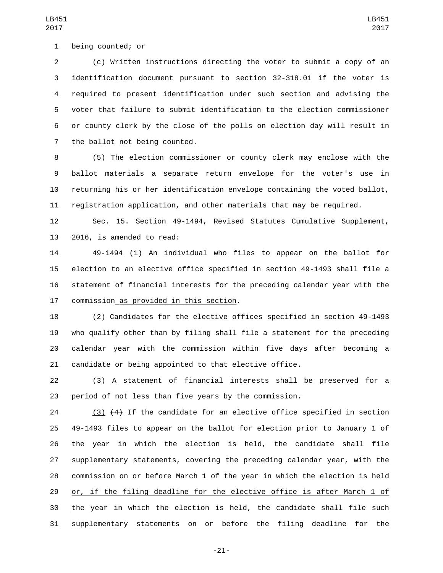1 being counted; or

 (c) Written instructions directing the voter to submit a copy of an identification document pursuant to section 32-318.01 if the voter is required to present identification under such section and advising the voter that failure to submit identification to the election commissioner or county clerk by the close of the polls on election day will result in 7 the ballot not being counted.

 (5) The election commissioner or county clerk may enclose with the ballot materials a separate return envelope for the voter's use in returning his or her identification envelope containing the voted ballot, registration application, and other materials that may be required.

 Sec. 15. Section 49-1494, Revised Statutes Cumulative Supplement, 13 2016, is amended to read:

 49-1494 (1) An individual who files to appear on the ballot for election to an elective office specified in section 49-1493 shall file a statement of financial interests for the preceding calendar year with the 17 commission as provided in this section.

 (2) Candidates for the elective offices specified in section 49-1493 who qualify other than by filing shall file a statement for the preceding calendar year with the commission within five days after becoming a candidate or being appointed to that elective office.

 (3) A statement of financial interests shall be preserved for a period of not less than five years by the commission.

 (3) (4) If the candidate for an elective office specified in section 49-1493 files to appear on the ballot for election prior to January 1 of the year in which the election is held, the candidate shall file supplementary statements, covering the preceding calendar year, with the commission on or before March 1 of the year in which the election is held or, if the filing deadline for the elective office is after March 1 of the year in which the election is held, the candidate shall file such supplementary statements on or before the filing deadline for the

-21-